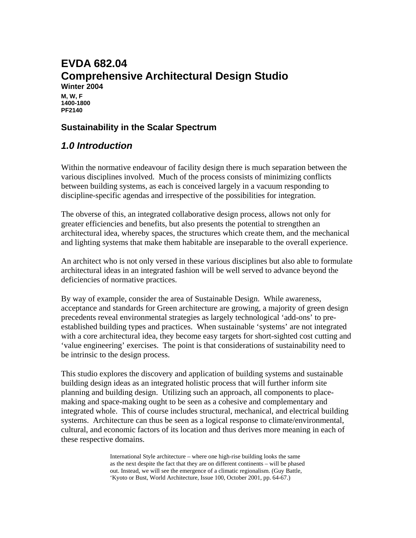## **EVDA 682.04 Comprehensive Architectural Design Studio Winter 2004 M, W, F 1400-1800 PF2140**

### **Sustainability in the Scalar Spectrum**

# *1.0 Introduction*

Within the normative endeavour of facility design there is much separation between the various disciplines involved. Much of the process consists of minimizing conflicts between building systems, as each is conceived largely in a vacuum responding to discipline-specific agendas and irrespective of the possibilities for integration.

The obverse of this, an integrated collaborative design process, allows not only for greater efficiencies and benefits, but also presents the potential to strengthen an architectural idea, whereby spaces, the structures which create them, and the mechanical and lighting systems that make them habitable are inseparable to the overall experience.

An architect who is not only versed in these various disciplines but also able to formulate architectural ideas in an integrated fashion will be well served to advance beyond the deficiencies of normative practices.

By way of example, consider the area of Sustainable Design. While awareness, acceptance and standards for Green architecture are growing, a majority of green design precedents reveal environmental strategies as largely technological 'add-ons' to preestablished building types and practices. When sustainable 'systems' are not integrated with a core architectural idea, they become easy targets for short-sighted cost cutting and 'value engineering' exercises. The point is that considerations of sustainability need to be intrinsic to the design process.

This studio explores the discovery and application of building systems and sustainable building design ideas as an integrated holistic process that will further inform site planning and building design. Utilizing such an approach, all components to placemaking and space-making ought to be seen as a cohesive and complementary and integrated whole. This of course includes structural, mechanical, and electrical building systems. Architecture can thus be seen as a logical response to climate/environmental, cultural, and economic factors of its location and thus derives more meaning in each of these respective domains.

> International Style architecture – where one high-rise building looks the same as the next despite the fact that they are on different continents – will be phased out. Instead, we will see the emergence of a climatic regionalism. (Guy Battle, 'Kyoto or Bust, World Architecture, Issue 100, October 2001, pp. 64-67.)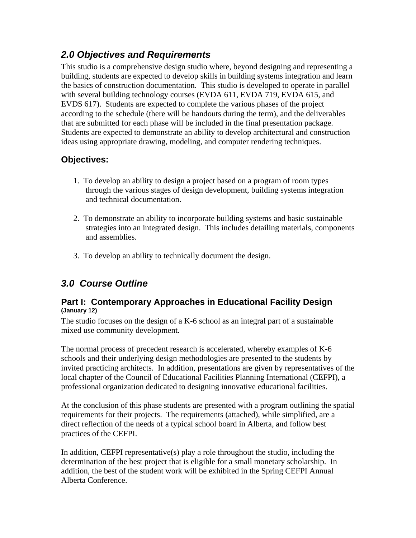# *2.0 Objectives and Requirements*

This studio is a comprehensive design studio where, beyond designing and representing a building, students are expected to develop skills in building systems integration and learn the basics of construction documentation. This studio is developed to operate in parallel with several building technology courses (EVDA 611, EVDA 719, EVDA 615, and EVDS 617). Students are expected to complete the various phases of the project according to the schedule (there will be handouts during the term), and the deliverables that are submitted for each phase will be included in the final presentation package. Students are expected to demonstrate an ability to develop architectural and construction ideas using appropriate drawing, modeling, and computer rendering techniques.

# **Objectives:**

- 1. To develop an ability to design a project based on a program of room types through the various stages of design development, building systems integration and technical documentation.
- 2. To demonstrate an ability to incorporate building systems and basic sustainable strategies into an integrated design. This includes detailing materials, components and assemblies.
- 3. To develop an ability to technically document the design.

# *3.0 Course Outline*

### **Part I: Contemporary Approaches in Educational Facility Design (January 12)**

The studio focuses on the design of a K-6 school as an integral part of a sustainable mixed use community development.

The normal process of precedent research is accelerated, whereby examples of K-6 schools and their underlying design methodologies are presented to the students by invited practicing architects. In addition, presentations are given by representatives of the local chapter of the Council of Educational Facilities Planning International (CEFPI), a professional organization dedicated to designing innovative educational facilities.

At the conclusion of this phase students are presented with a program outlining the spatial requirements for their projects. The requirements (attached), while simplified, are a direct reflection of the needs of a typical school board in Alberta, and follow best practices of the CEFPI.

In addition, CEFPI representative(s) play a role throughout the studio, including the determination of the best project that is eligible for a small monetary scholarship. In addition, the best of the student work will be exhibited in the Spring CEFPI Annual Alberta Conference.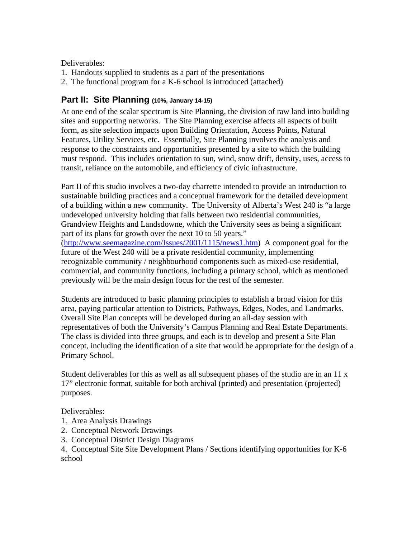#### Deliverables:

- 1. Handouts supplied to students as a part of the presentations
- 2. The functional program for a K-6 school is introduced (attached)

## **Part II: Site Planning (10%, January 14-15)**

At one end of the scalar spectrum is Site Planning, the division of raw land into building sites and supporting networks. The Site Planning exercise affects all aspects of built form, as site selection impacts upon Building Orientation, Access Points, Natural Features, Utility Services, etc. Essentially, Site Planning involves the analysis and response to the constraints and opportunities presented by a site to which the building must respond. This includes orientation to sun, wind, snow drift, density, uses, access to transit, reliance on the automobile, and efficiency of civic infrastructure.

Part II of this studio involves a two-day charrette intended to provide an introduction to sustainable building practices and a conceptual framework for the detailed development of a building within a new community. The University of Alberta's West 240 is "a large undeveloped university holding that falls between two residential communities, Grandview Heights and Landsdowne, which the University sees as being a significant part of its plans for growth over the next 10 to 50 years." (http://www.seemagazine.com/Issues/2001/1115/news1.htm) A component goal for the future of the West 240 will be a private residential community, implementing recognizable community / neighbourhood components such as mixed-use residential, commercial, and community functions, including a primary school, which as mentioned previously will be the main design focus for the rest of the semester.

Students are introduced to basic planning principles to establish a broad vision for this area, paying particular attention to Districts, Pathways, Edges, Nodes, and Landmarks. Overall Site Plan concepts will be developed during an all-day session with representatives of both the University's Campus Planning and Real Estate Departments. The class is divided into three groups, and each is to develop and present a Site Plan concept, including the identification of a site that would be appropriate for the design of a Primary School.

Student deliverables for this as well as all subsequent phases of the studio are in an 11 x 17" electronic format, suitable for both archival (printed) and presentation (projected) purposes.

#### Deliverables:

- 1. Area Analysis Drawings
- 2. Conceptual Network Drawings
- 3. Conceptual District Design Diagrams
- 4. Conceptual Site Site Development Plans / Sections identifying opportunities for K-6 school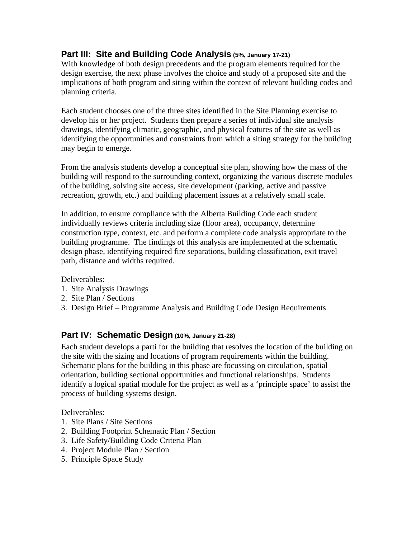# **Part III: Site and Building Code Analysis (5%, January 17-21)**

With knowledge of both design precedents and the program elements required for the design exercise, the next phase involves the choice and study of a proposed site and the implications of both program and siting within the context of relevant building codes and planning criteria.

Each student chooses one of the three sites identified in the Site Planning exercise to develop his or her project. Students then prepare a series of individual site analysis drawings, identifying climatic, geographic, and physical features of the site as well as identifying the opportunities and constraints from which a siting strategy for the building may begin to emerge.

From the analysis students develop a conceptual site plan, showing how the mass of the building will respond to the surrounding context, organizing the various discrete modules of the building, solving site access, site development (parking, active and passive recreation, growth, etc.) and building placement issues at a relatively small scale.

In addition, to ensure compliance with the Alberta Building Code each student individually reviews criteria including size (floor area), occupancy, determine construction type, context, etc. and perform a complete code analysis appropriate to the building programme. The findings of this analysis are implemented at the schematic design phase, identifying required fire separations, building classification, exit travel path, distance and widths required.

#### Deliverables:

- 1. Site Analysis Drawings
- 2. Site Plan / Sections
- 3. Design Brief Programme Analysis and Building Code Design Requirements

### **Part IV: Schematic Design (10%, January 21-28)**

Each student develops a parti for the building that resolves the location of the building on the site with the sizing and locations of program requirements within the building. Schematic plans for the building in this phase are focussing on circulation, spatial orientation, building sectional opportunities and functional relationships. Students identify a logical spatial module for the project as well as a 'principle space' to assist the process of building systems design.

Deliverables:

- 1. Site Plans / Site Sections
- 2. Building Footprint Schematic Plan / Section
- 3. Life Safety/Building Code Criteria Plan
- 4. Project Module Plan / Section
- 5. Principle Space Study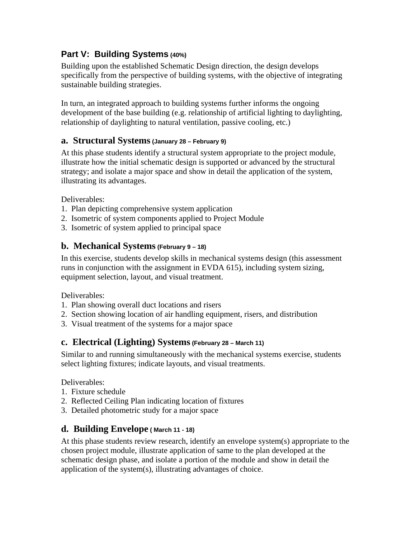# **Part V: Building Systems (40%)**

Building upon the established Schematic Design direction, the design develops specifically from the perspective of building systems, with the objective of integrating sustainable building strategies.

In turn, an integrated approach to building systems further informs the ongoing development of the base building (e.g. relationship of artificial lighting to daylighting, relationship of daylighting to natural ventilation, passive cooling, etc.)

# **a. Structural Systems (January 28 – February 9)**

At this phase students identify a structural system appropriate to the project module, illustrate how the initial schematic design is supported or advanced by the structural strategy; and isolate a major space and show in detail the application of the system, illustrating its advantages.

Deliverables:

- 1. Plan depicting comprehensive system application
- 2. Isometric of system components applied to Project Module
- 3. Isometric of system applied to principal space

# **b. Mechanical Systems (February 9 – 18)**

In this exercise, students develop skills in mechanical systems design (this assessment runs in conjunction with the assignment in EVDA 615), including system sizing, equipment selection, layout, and visual treatment.

Deliverables:

- 1. Plan showing overall duct locations and risers
- 2. Section showing location of air handling equipment, risers, and distribution
- 3. Visual treatment of the systems for a major space

## **c. Electrical (Lighting) Systems (February 28 – March 11)**

Similar to and running simultaneously with the mechanical systems exercise, students select lighting fixtures; indicate layouts, and visual treatments.

Deliverables:

- 1. Fixture schedule
- 2. Reflected Ceiling Plan indicating location of fixtures
- 3. Detailed photometric study for a major space

# **d. Building Envelope ( March 11 - 18)**

At this phase students review research, identify an envelope system(s) appropriate to the chosen project module, illustrate application of same to the plan developed at the schematic design phase, and isolate a portion of the module and show in detail the application of the system(s), illustrating advantages of choice.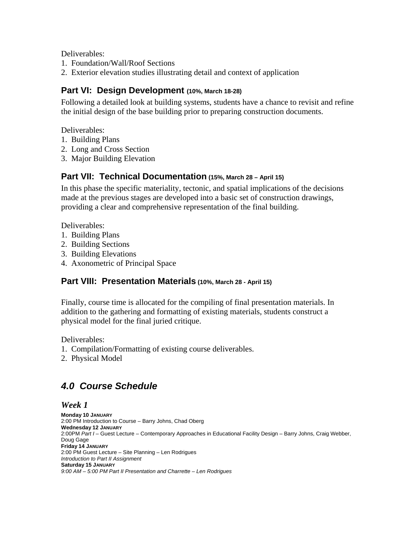Deliverables:

- 1. Foundation/Wall/Roof Sections
- 2. Exterior elevation studies illustrating detail and context of application

### **Part VI: Design Development (10%, March 18-28)**

Following a detailed look at building systems, students have a chance to revisit and refine the initial design of the base building prior to preparing construction documents.

Deliverables:

- 1. Building Plans
- 2. Long and Cross Section
- 3. Major Building Elevation

# **Part VII: Technical Documentation (15%, March 28 – April 15)**

In this phase the specific materiality, tectonic, and spatial implications of the decisions made at the previous stages are developed into a basic set of construction drawings, providing a clear and comprehensive representation of the final building.

Deliverables:

- 1. Building Plans
- 2. Building Sections
- 3. Building Elevations
- 4. Axonometric of Principal Space

# **Part VIII: Presentation Materials (10%, March 28 - April 15)**

Finally, course time is allocated for the compiling of final presentation materials. In addition to the gathering and formatting of existing materials, students construct a physical model for the final juried critique.

Deliverables:

- 1. Compilation/Formatting of existing course deliverables.
- 2. Physical Model

# *4.0 Course Schedule*

*Week 1* 

**Monday 10 JANUARY**  2:00 PM Introduction to Course – Barry Johns, Chad Oberg **Wednesday 12 JANUARY**  2:00PM *Part I* – Guest Lecture – Contemporary Approaches in Educational Facility Design – Barry Johns, Craig Webber, Doug Gage **Friday 14 JANUARY**  2:00 PM Guest Lecture – Site Planning – Len Rodrigues *Introduction to Part II Assignment*  **Saturday 15 JANUARY**  *9:00 AM – 5:00 PM Part II Presentation and Charrette – Len Rodrigues*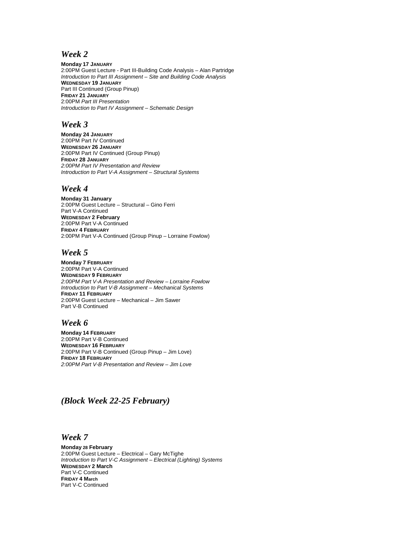#### *Week 2*

**Monday 17 JANUARY**  2:00PM Guest Lecture - Part III-Building Code Analysis – Alan Partridge *Introduction to Part III Assignment – Site and Building Code Analysis*  **WEDNESDAY 19 JANUARY**  Part III Continued (Group Pinup) **FRIDAY 21 JANUARY**  2:00PM *Part III Presentation Introduction to Part IV Assignment – Schematic Design* 

#### *Week 3*

**Monday 24 JANUARY**  2:00PM Part IV Continued **WEDNESDAY 26 JANUARY**  2:00PM Part IV Continued (Group Pinup) **FRIDAY 28 JANUARY**  *2:00PM Part IV Presentation and Review Introduction to Part V-A Assignment – Structural Systems* 

#### *Week 4*

**Monday 31 January** 2:00PM Guest Lecture – Structural – Gino Ferri Part V-A Continued **WEDNESDAY 2 February** 2:00PM Part V-A Continued **FRIDAY 4 FEBRUARY**  2:00PM Part V-A Continued (Group Pinup – Lorraine Fowlow)

#### *Week 5*

**Monday 7 FEBRUARY**  2:00PM Part V-A Continued **WEDNESDAY 9 FEBRUARY**  *2:00PM Part V-A Presentation and Review – Lorraine Fowlow Introduction to Part V-B Assignment – Mechanical Systems*  **FRIDAY 11 FEBRUARY**  2:00PM Guest Lecture – Mechanical – Jim Sawer Part V-B Continued

#### *Week 6*

**Monday 14 FEBRUARY**  2:00PM Part V-B Continued **WEDNESDAY 16 FEBRUARY**  2:00PM Part V-B Continued (Group Pinup – Jim Love) **FRIDAY 18 FEBRUARY**  *2:00PM Part V-B Presentation and Review – Jim Love* 

#### *(Block Week 22-25 February)*

#### *Week 7*

**Monday 28 February** 2:00PM Guest Lecture – Electrical – Gary McTighe *Introduction to Part V-C Assignment – Electrical (Lighting) Systems*  **WEDNESDAY 2 March** Part V-C Continued **FRIDAY 4 March**  Part V-C Continued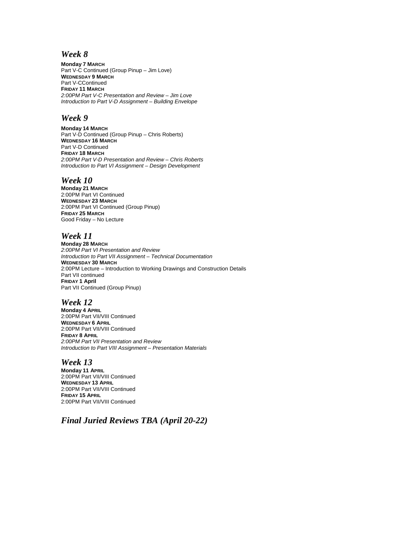#### *Week 8*

**Monday 7 MARCH**  Part V-C Continued (Group Pinup – Jim Love) **WEDNESDAY 9 MARCH**  Part V-CContinued **FRIDAY 11 MARCH**  *2:00PM Part V-C Presentation and Review – Jim Love Introduction to Part V-D Assignment – Building Envelope* 

#### *Week 9*

**Monday 14 MARCH**  Part V-D Continued (Group Pinup – Chris Roberts) **WEDNESDAY 16 MARCH**  Part V-D Continued **FRIDAY 18 MARCH**  *2:00PM Part V-D Presentation and Review – Chris Roberts Introduction to Part VI Assignment – Design Development* 

#### *Week 10*

**Monday 21 MARCH**  2:00PM Part VI Continued **WEDNESDAY 23 MARCH**  2:00PM Part VI Continued (Group Pinup) **FRIDAY 25 MARCH**  Good Friday – No Lecture

#### *Week 11*

**Monday 28 MARCH**  *2:00PM Part VI Presentation and Review Introduction to Part VII Assignment – Technical Documentation*  **WEDNESDAY 30 MARCH**  2:00PM Lecture – Introduction to Working Drawings and Construction Details Part VII continued **FRIDAY 1 April** Part VII Continued (Group Pinup)

#### *Week 12*

**Monday 4 APRIL**  2:00PM Part VII/VIII Continued **WEDNESDAY 6 APRIL**  2:00PM Part VII/VIII Continued **FRIDAY 8 APRIL**  *2:00PM Part VII Presentation and Review Introduction to Part VIII Assignment – Presentation Materials* 

#### *Week 13*

**Monday 11 APRIL**  2:00PM Part VII/VIII Continued **WEDNESDAY 13 APRIL**  2:00PM Part VII/VIII Continued **FRIDAY 15 APRIL**  2:00PM Part VII/VIII Continued

*Final Juried Reviews TBA (April 20-22)*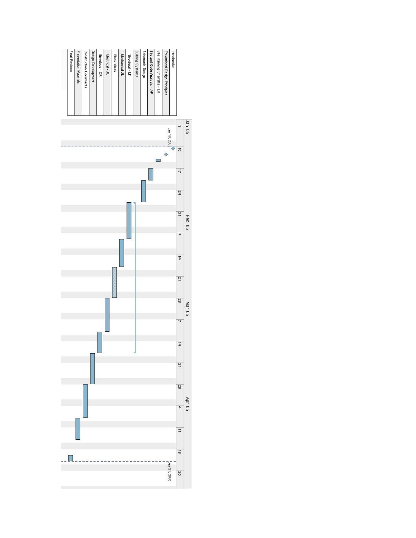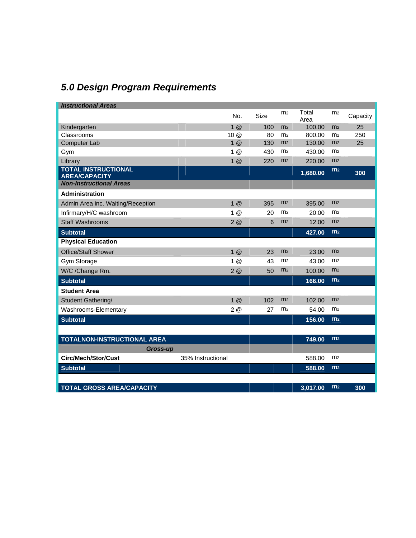# *5.0 Design Program Requirements*

| <b>Instructional Areas</b>                         |                   |      |                |               |                |          |
|----------------------------------------------------|-------------------|------|----------------|---------------|----------------|----------|
|                                                    | No.               | Size | m <sub>2</sub> | Total<br>Area | m <sub>2</sub> | Capacity |
| Kindergarten                                       | $1 \omega$        | 100  | m <sub>2</sub> | 100.00        | m <sub>2</sub> | 25       |
| Classrooms                                         | 10 @              | 80   | m <sub>2</sub> | 800.00        | m <sub>2</sub> | 250      |
| <b>Computer Lab</b>                                | 1@                | 130  | m <sub>2</sub> | 130.00        | m <sub>2</sub> | 25       |
| Gym                                                | 1@                | 430  | m <sub>2</sub> | 430.00        | m <sub>2</sub> |          |
| Library                                            | 1@                | 220  | m <sub>2</sub> | 220.00        | m <sub>2</sub> |          |
| <b>TOTAL INSTRUCTIONAL</b><br><b>AREA/CAPACITY</b> |                   |      |                | 1,680.00      | m <sub>2</sub> | 300      |
| <b>Non-Instructional Areas</b>                     |                   |      |                |               |                |          |
| Administration                                     |                   |      |                |               |                |          |
| Admin Area inc. Waiting/Reception                  | 1@                | 395  | m <sub>2</sub> | 395.00        | m <sub>2</sub> |          |
| Infirmary/H/C washroom                             | 1@                | 20   | m <sub>2</sub> | 20.00         | m <sub>2</sub> |          |
| <b>Staff Washrooms</b>                             | 2@                | 6    | m <sub>2</sub> | 12.00         | m <sub>2</sub> |          |
| <b>Subtotal</b>                                    |                   |      |                | 427.00        | m <sub>2</sub> |          |
| <b>Physical Education</b>                          |                   |      |                |               |                |          |
| <b>Office/Staff Shower</b>                         | 1@                | 23   | m <sub>2</sub> | 23.00         | m <sub>2</sub> |          |
| Gym Storage                                        | 1@                | 43   | m <sub>2</sub> | 43.00         | m <sub>2</sub> |          |
| W/C /Change Rm.                                    | 2@                | 50   | m <sub>2</sub> | 100.00        | m <sub>2</sub> |          |
| <b>Subtotal</b>                                    |                   |      |                | 166.00        | m <sub>2</sub> |          |
| <b>Student Area</b>                                |                   |      |                |               |                |          |
| <b>Student Gathering/</b>                          | 1@                | 102  | m <sub>2</sub> | 102.00        | m <sub>2</sub> |          |
| Washrooms-Elementary                               | 2@                | 27   | m <sub>2</sub> | 54.00         | m <sub>2</sub> |          |
| <b>Subtotal</b>                                    |                   |      |                | 156.00        | m <sub>2</sub> |          |
|                                                    |                   |      |                |               |                |          |
| TOTALNON-INSTRUCTIONAL AREA                        |                   |      |                | 749.00        | m <sub>2</sub> |          |
| <b>Gross-up</b>                                    |                   |      |                |               |                |          |
| <b>Circ/Mech/Stor/Cust</b>                         | 35% Instructional |      |                | 588.00        | m <sub>2</sub> |          |
| <b>Subtotal</b>                                    |                   |      |                | 588.00        | m <sub>2</sub> |          |
|                                                    |                   |      |                |               |                |          |
| <b>TOTAL GROSS AREA/CAPACITY</b>                   |                   |      |                | 3,017.00      | m <sub>2</sub> | 300      |